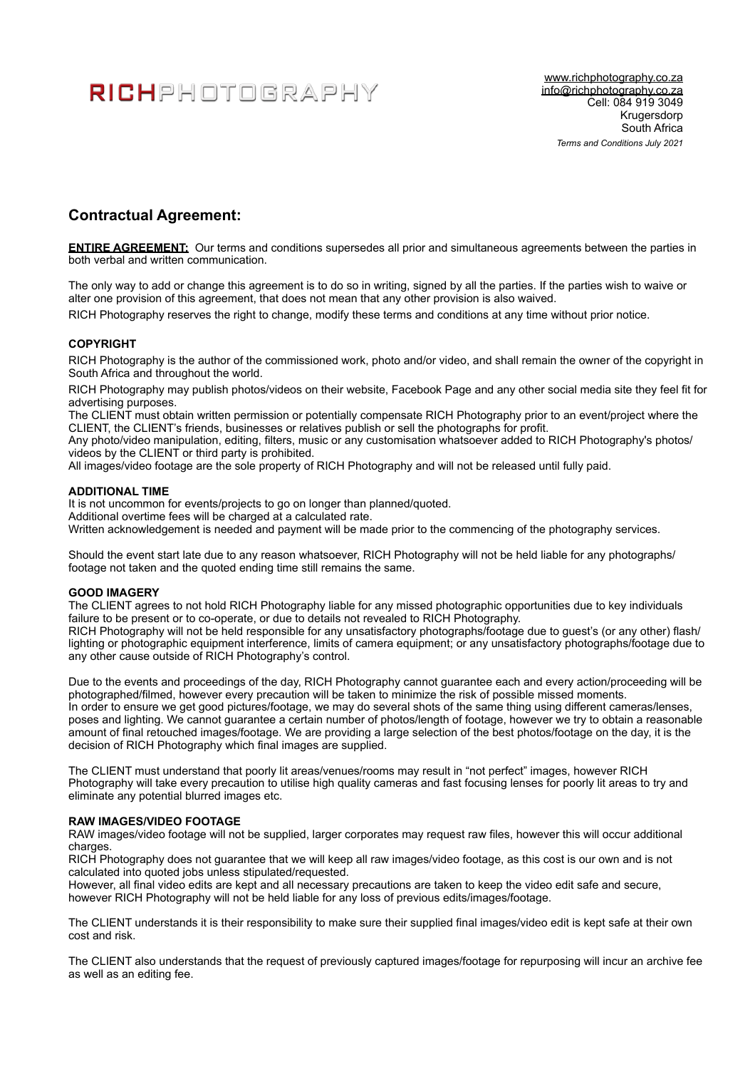# RICHPHOTOGRAPHY

# **Contractual Agreement:**

**ENTIRE AGREEMENT:** Our terms and conditions supersedes all prior and simultaneous agreements between the parties in both verbal and written communication.

The only way to add or change this agreement is to do so in writing, signed by all the parties. If the parties wish to waive or alter one provision of this agreement, that does not mean that any other provision is also waived.

RICH Photography reserves the right to change, modify these terms and conditions at any time without prior notice.

# **COPYRIGHT**

RICH Photography is the author of the commissioned work, photo and/or video, and shall remain the owner of the copyright in South Africa and throughout the world.

RICH Photography may publish photos/videos on their website, Facebook Page and any other social media site they feel fit for advertising purposes.

The CLIENT must obtain written permission or potentially compensate RICH Photography prior to an event/project where the CLIENT, the CLIENT's friends, businesses or relatives publish or sell the photographs for profit.

Any photo/video manipulation, editing, filters, music or any customisation whatsoever added to RICH Photography's photos/ videos by the CLIENT or third party is prohibited.

All images/video footage are the sole property of RICH Photography and will not be released until fully paid.

#### **ADDITIONAL TIME**

It is not uncommon for events/projects to go on longer than planned/quoted.

Additional overtime fees will be charged at a calculated rate.

Written acknowledgement is needed and payment will be made prior to the commencing of the photography services.

Should the event start late due to any reason whatsoever, RICH Photography will not be held liable for any photographs/ footage not taken and the quoted ending time still remains the same.

### **GOOD IMAGERY**

The CLIENT agrees to not hold RICH Photography liable for any missed photographic opportunities due to key individuals failure to be present or to co-operate, or due to details not revealed to RICH Photography.

RICH Photography will not be held responsible for any unsatisfactory photographs/footage due to guest's (or any other) flash/ lighting or photographic equipment interference, limits of camera equipment; or any unsatisfactory photographs/footage due to any other cause outside of RICH Photography's control.

Due to the events and proceedings of the day, RICH Photography cannot guarantee each and every action/proceeding will be photographed/filmed, however every precaution will be taken to minimize the risk of possible missed moments. In order to ensure we get good pictures/footage, we may do several shots of the same thing using different cameras/lenses, poses and lighting. We cannot guarantee a certain number of photos/length of footage, however we try to obtain a reasonable amount of final retouched images/footage. We are providing a large selection of the best photos/footage on the day, it is the decision of RICH Photography which final images are supplied.

The CLIENT must understand that poorly lit areas/venues/rooms may result in "not perfect" images, however RICH Photography will take every precaution to utilise high quality cameras and fast focusing lenses for poorly lit areas to try and eliminate any potential blurred images etc.

#### **RAW IMAGES/VIDEO FOOTAGE**

RAW images/video footage will not be supplied, larger corporates may request raw files, however this will occur additional charges.

RICH Photography does not guarantee that we will keep all raw images/video footage, as this cost is our own and is not calculated into quoted jobs unless stipulated/requested.

However, all final video edits are kept and all necessary precautions are taken to keep the video edit safe and secure, however RICH Photography will not be held liable for any loss of previous edits/images/footage.

The CLIENT understands it is their responsibility to make sure their supplied final images/video edit is kept safe at their own cost and risk.

The CLIENT also understands that the request of previously captured images/footage for repurposing will incur an archive fee as well as an editing fee.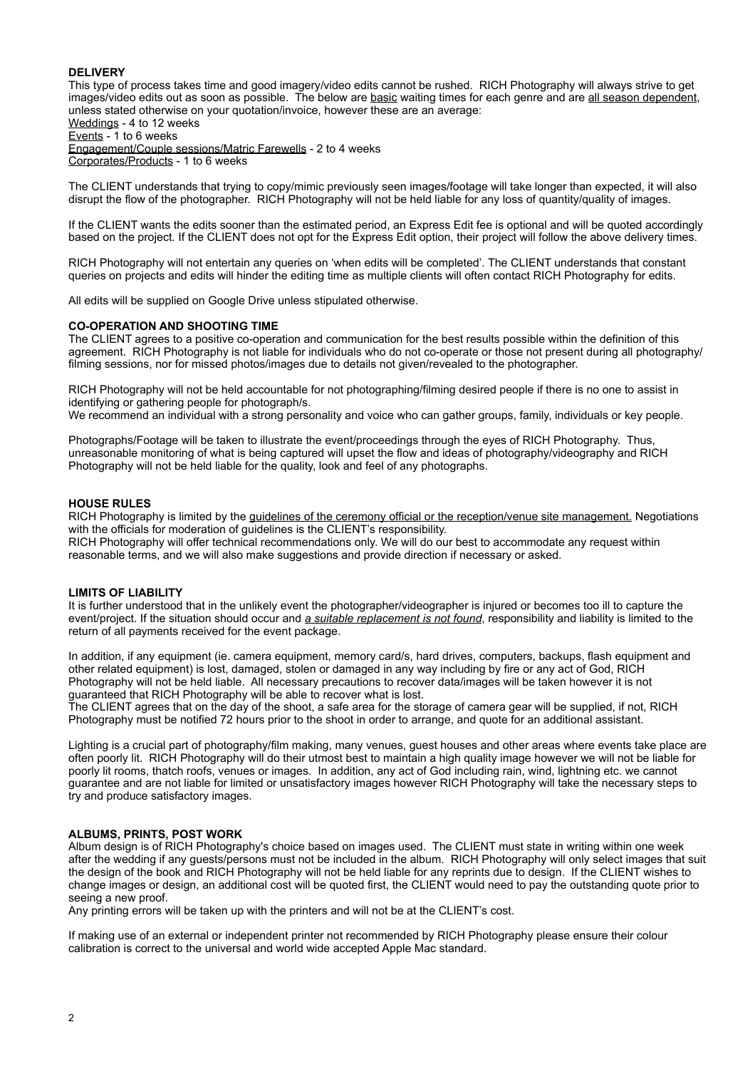# **DELIVERY**

This type of process takes time and good imagery/video edits cannot be rushed. RICH Photography will always strive to get images/video edits out as soon as possible. The below are basic waiting times for each genre and are all season dependent, unless stated otherwise on your quotation/invoice, however these are an average:

Weddings - 4 to 12 weeks Events - 1 to 6 weeks

Engagement/Couple sessions/Matric Farewells - 2 to 4 weeks Corporates/Products - 1 to 6 weeks

The CLIENT understands that trying to copy/mimic previously seen images/footage will take longer than expected, it will also disrupt the flow of the photographer. RICH Photography will not be held liable for any loss of quantity/quality of images.

If the CLIENT wants the edits sooner than the estimated period, an Express Edit fee is optional and will be quoted accordingly based on the project. If the CLIENT does not opt for the Express Edit option, their project will follow the above delivery times.

RICH Photography will not entertain any queries on 'when edits will be completed'. The CLIENT understands that constant queries on projects and edits will hinder the editing time as multiple clients will often contact RICH Photography for edits.

All edits will be supplied on Google Drive unless stipulated otherwise.

#### **CO-OPERATION AND SHOOTING TIME**

The CLIENT agrees to a positive co-operation and communication for the best results possible within the definition of this agreement. RICH Photography is not liable for individuals who do not co-operate or those not present during all photography/ filming sessions, nor for missed photos/images due to details not given/revealed to the photographer.

RICH Photography will not be held accountable for not photographing/filming desired people if there is no one to assist in identifying or gathering people for photograph/s.

We recommend an individual with a strong personality and voice who can gather groups, family, individuals or key people.

Photographs/Footage will be taken to illustrate the event/proceedings through the eyes of RICH Photography. Thus, unreasonable monitoring of what is being captured will upset the flow and ideas of photography/videography and RICH Photography will not be held liable for the quality, look and feel of any photographs.

#### **HOUSE RULES**

RICH Photography is limited by the guidelines of the ceremony official or the reception/venue site management. Negotiations with the officials for moderation of guidelines is the CLIENT's responsibility.

RICH Photography will offer technical recommendations only. We will do our best to accommodate any request within reasonable terms, and we will also make suggestions and provide direction if necessary or asked.

#### **LIMITS OF LIABILITY**

It is further understood that in the unlikely event the photographer/videographer is injured or becomes too ill to capture the event/project. If the situation should occur and *a suitable replacement is not found*, responsibility and liability is limited to the return of all payments received for the event package.

In addition, if any equipment (ie. camera equipment, memory card/s, hard drives, computers, backups, flash equipment and other related equipment) is lost, damaged, stolen or damaged in any way including by fire or any act of God, RICH Photography will not be held liable. All necessary precautions to recover data/images will be taken however it is not guaranteed that RICH Photography will be able to recover what is lost.

The CLIENT agrees that on the day of the shoot, a safe area for the storage of camera gear will be supplied, if not, RICH Photography must be notified 72 hours prior to the shoot in order to arrange, and quote for an additional assistant.

Lighting is a crucial part of photography/film making, many venues, guest houses and other areas where events take place are often poorly lit. RICH Photography will do their utmost best to maintain a high quality image however we will not be liable for poorly lit rooms, thatch roofs, venues or images. In addition, any act of God including rain, wind, lightning etc. we cannot guarantee and are not liable for limited or unsatisfactory images however RICH Photography will take the necessary steps to try and produce satisfactory images.

#### **ALBUMS, PRINTS, POST WORK**

Album design is of RICH Photography's choice based on images used. The CLIENT must state in writing within one week after the wedding if any guests/persons must not be included in the album. RICH Photography will only select images that suit the design of the book and RICH Photography will not be held liable for any reprints due to design. If the CLIENT wishes to change images or design, an additional cost will be quoted first, the CLIENT would need to pay the outstanding quote prior to seeing a new proof.

Any printing errors will be taken up with the printers and will not be at the CLIENT's cost.

If making use of an external or independent printer not recommended by RICH Photography please ensure their colour calibration is correct to the universal and world wide accepted Apple Mac standard.